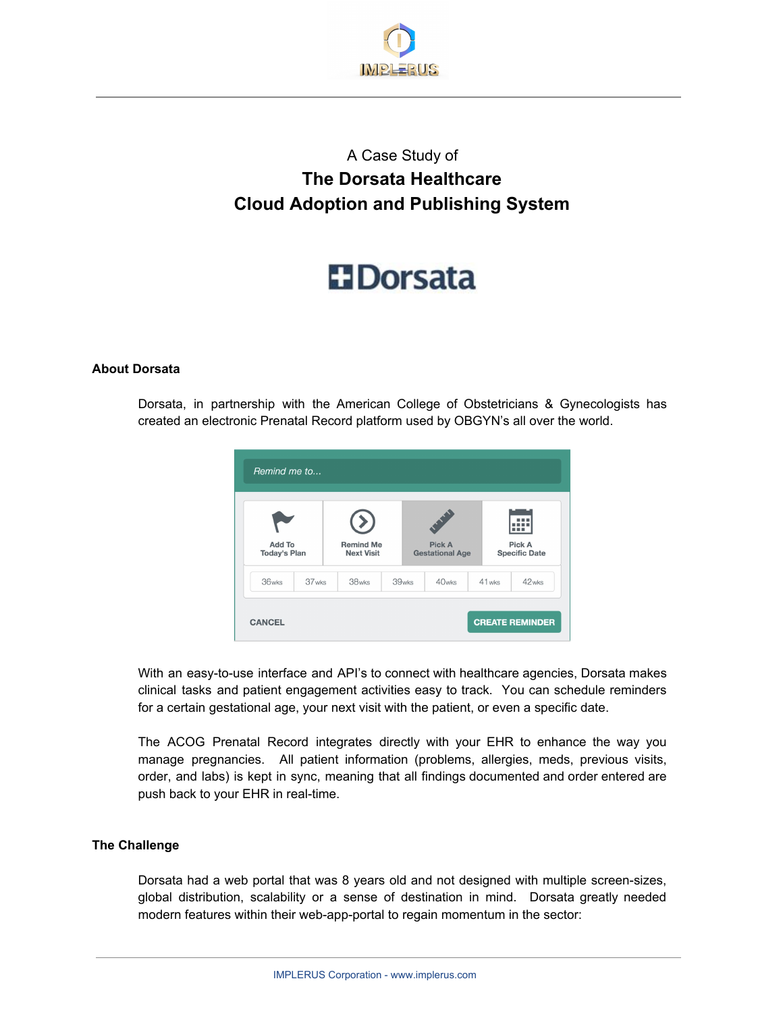

## A Case Study of **The Dorsata Healthcare Cloud Adoption and Publishing System**

# **H**Dorsata

#### **About Dorsata**

Dorsata, in partnership with the American College of Obstetricians & Gynecologists has created an electronic Prenatal Record platform used by OBGYN's all over the world.



With an easy-to-use interface and API's to connect with healthcare agencies, Dorsata makes clinical tasks and patient engagement activities easy to track. You can schedule reminders for a certain gestational age, your next visit with the patient, or even a specific date.

The ACOG Prenatal Record integrates directly with your EHR to enhance the way you manage pregnancies. All patient information (problems, allergies, meds, previous visits, order, and labs) is kept in sync, meaning that all findings documented and order entered are push back to your EHR in real-time.

#### **The Challenge**

Dorsata had a web portal that was 8 years old and not designed with multiple screen-sizes, global distribution, scalability or a sense of destination in mind. Dorsata greatly needed modern features within their web-app-portal to regain momentum in the sector: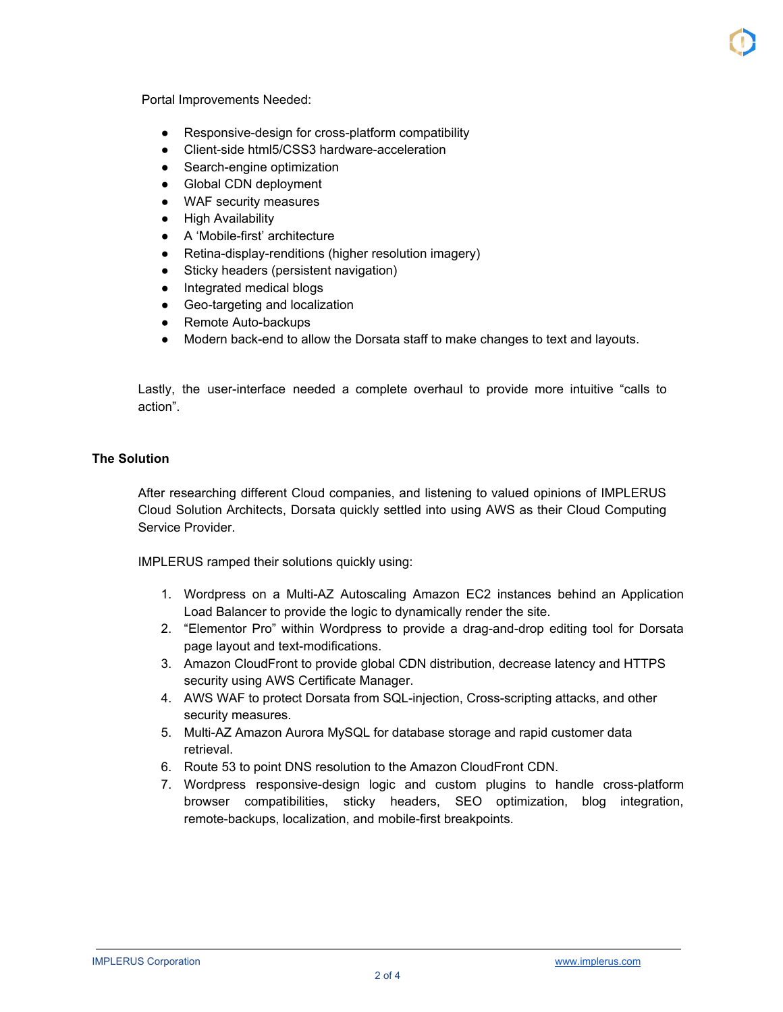Portal Improvements Needed:

- Responsive-design for cross-platform compatibility
- Client-side html5/CSS3 hardware-acceleration
- Search-engine optimization
- Global CDN deployment
- WAF security measures
- **High Availability**
- A 'Mobile-first' architecture
- Retina-display-renditions (higher resolution imagery)
- Sticky headers (persistent navigation)
- Integrated medical blogs
- Geo-targeting and localization
- Remote Auto-backups
- Modern back-end to allow the Dorsata staff to make changes to text and layouts.

Lastly, the user-interface needed a complete overhaul to provide more intuitive "calls to action".

### **The Solution**

After researching different Cloud companies, and listening to valued opinions of IMPLERUS Cloud Solution Architects, Dorsata quickly settled into using AWS as their Cloud Computing Service Provider.

IMPLERUS ramped their solutions quickly using:

- 1. Wordpress on a Multi-AZ Autoscaling Amazon EC2 instances behind an Application Load Balancer to provide the logic to dynamically render the site.
- 2. "Elementor Pro" within Wordpress to provide a drag-and-drop editing tool for Dorsata page layout and text-modifications.
- 3. Amazon CloudFront to provide global CDN distribution, decrease latency and HTTPS security using AWS Certificate Manager.
- 4. AWS WAF to protect Dorsata from SQL-injection, Cross-scripting attacks, and other security measures.
- 5. Multi-AZ Amazon Aurora MySQL for database storage and rapid customer data retrieval.
- 6. Route 53 to point DNS resolution to the Amazon CloudFront CDN.
- 7. Wordpress responsive-design logic and custom plugins to handle cross-platform browser compatibilities, sticky headers, SEO optimization, blog integration, remote-backups, localization, and mobile-first breakpoints.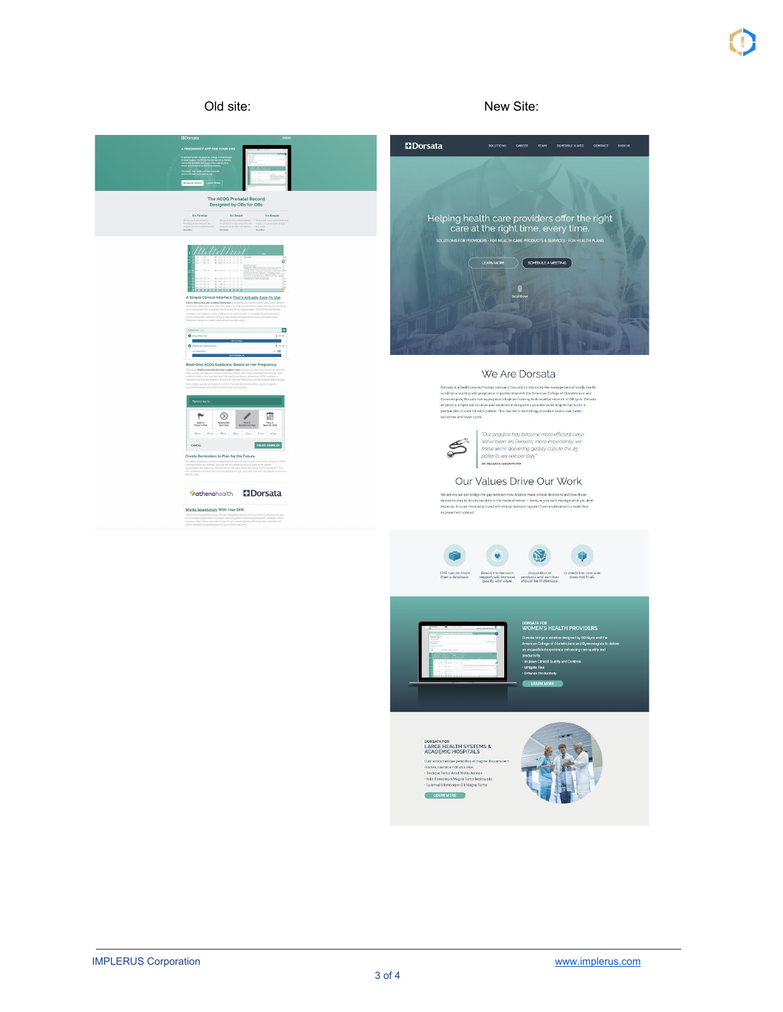



im sociis natoque penatibus et ma montes, nascetur ridiculus mus.<br>Tristique Tortor Arnet Mollis Aenean<br>: Nibh Fermentum Magna Tortor Malesua<br>: Euismod Ullamcorper Elit Magna Tortor LEARN MORE